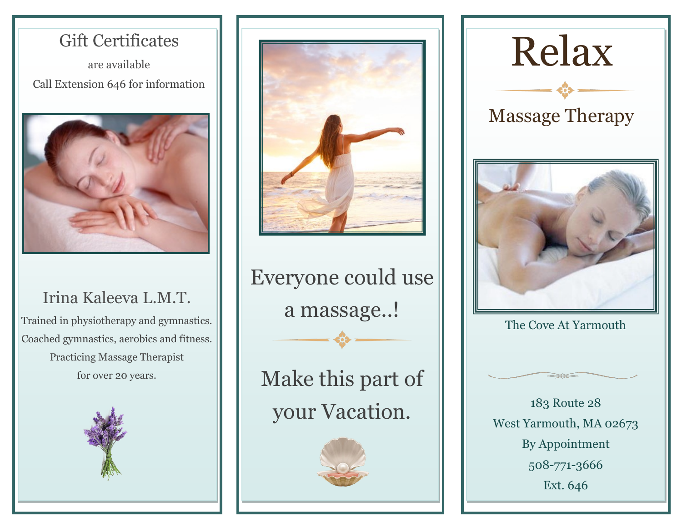# Gift Certificates

are available Call Extension 646 for information



## Irina Kaleeva L.M.T.

Trained in physiotherapy and gymnastics. Coached gymnastics, aerobics and fitness. Practicing Massage Therapist for over 20 years.





Everyone could use a massage..!

Make this part of your Vacation.





Massage Therapy



The Cove At Yarmouth



183 Route 28 West Yarmouth, MA 02673 By Appointment 508-771-3666 Ext. 646